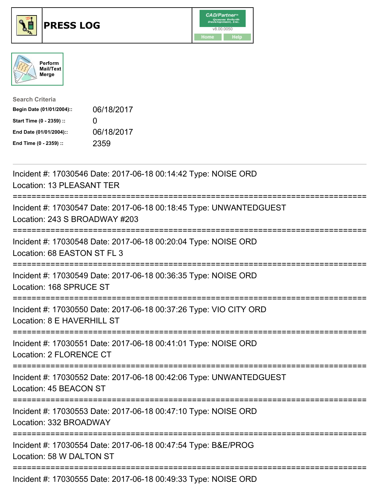





| <b>Search Criteria</b>    |              |
|---------------------------|--------------|
| Begin Date (01/01/2004):: | 06/18/2017   |
| Start Time (0 - 2359) ::  | $\mathbf{U}$ |
| End Date (01/01/2004)::   | 06/18/2017   |
| End Time (0 - 2359) ::    | 2359         |

| Incident #: 17030546 Date: 2017-06-18 00:14:42 Type: NOISE ORD<br>Location: 13 PLEASANT TER         |
|-----------------------------------------------------------------------------------------------------|
| Incident #: 17030547 Date: 2017-06-18 00:18:45 Type: UNWANTEDGUEST<br>Location: 243 S BROADWAY #203 |
| Incident #: 17030548 Date: 2017-06-18 00:20:04 Type: NOISE ORD<br>Location: 68 EASTON ST FL 3       |
| Incident #: 17030549 Date: 2017-06-18 00:36:35 Type: NOISE ORD<br>Location: 168 SPRUCE ST           |
| Incident #: 17030550 Date: 2017-06-18 00:37:26 Type: VIO CITY ORD<br>Location: 8 E HAVERHILL ST     |
| Incident #: 17030551 Date: 2017-06-18 00:41:01 Type: NOISE ORD<br>Location: 2 FLORENCE CT           |
| Incident #: 17030552 Date: 2017-06-18 00:42:06 Type: UNWANTEDGUEST<br>Location: 45 BEACON ST        |
| Incident #: 17030553 Date: 2017-06-18 00:47:10 Type: NOISE ORD<br>Location: 332 BROADWAY            |
| Incident #: 17030554 Date: 2017-06-18 00:47:54 Type: B&E/PROG<br>Location: 58 W DALTON ST           |
| Incident #: 17030555 Date: 2017-06-18 00:49:33 Type: NOISE ORD                                      |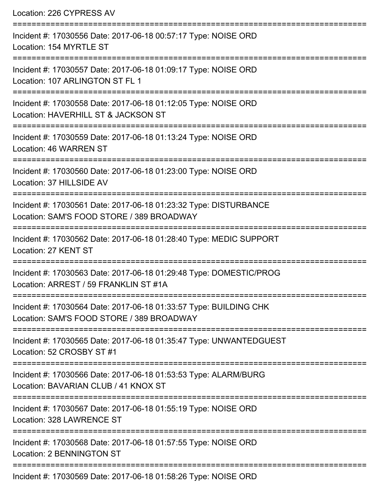| Location: 226 CYPRESS AV                                                                                                   |
|----------------------------------------------------------------------------------------------------------------------------|
| Incident #: 17030556 Date: 2017-06-18 00:57:17 Type: NOISE ORD<br>Location: 154 MYRTLE ST<br>========================      |
| Incident #: 17030557 Date: 2017-06-18 01:09:17 Type: NOISE ORD<br>Location: 107 ARLINGTON ST FL 1                          |
| Incident #: 17030558 Date: 2017-06-18 01:12:05 Type: NOISE ORD<br>Location: HAVERHILL ST & JACKSON ST                      |
| ;=============================<br>Incident #: 17030559 Date: 2017-06-18 01:13:24 Type: NOISE ORD<br>Location: 46 WARREN ST |
| Incident #: 17030560 Date: 2017-06-18 01:23:00 Type: NOISE ORD<br>Location: 37 HILLSIDE AV                                 |
| Incident #: 17030561 Date: 2017-06-18 01:23:32 Type: DISTURBANCE<br>Location: SAM'S FOOD STORE / 389 BROADWAY              |
| Incident #: 17030562 Date: 2017-06-18 01:28:40 Type: MEDIC SUPPORT<br>Location: 27 KENT ST                                 |
| Incident #: 17030563 Date: 2017-06-18 01:29:48 Type: DOMESTIC/PROG<br>Location: ARREST / 59 FRANKLIN ST #1A                |
| Incident #: 17030564 Date: 2017-06-18 01:33:57 Type: BUILDING CHK<br>Location: SAM'S FOOD STORE / 389 BROADWAY             |
| Incident #: 17030565 Date: 2017-06-18 01:35:47 Type: UNWANTEDGUEST<br>Location: 52 CROSBY ST #1                            |
| Incident #: 17030566 Date: 2017-06-18 01:53:53 Type: ALARM/BURG<br>Location: BAVARIAN CLUB / 41 KNOX ST                    |
| Incident #: 17030567 Date: 2017-06-18 01:55:19 Type: NOISE ORD<br>Location: 328 LAWRENCE ST                                |
| Incident #: 17030568 Date: 2017-06-18 01:57:55 Type: NOISE ORD<br>Location: 2 BENNINGTON ST                                |
| Incident #: 17030569 Date: 2017-06-18 01:58:26 Type: NOISE ORD                                                             |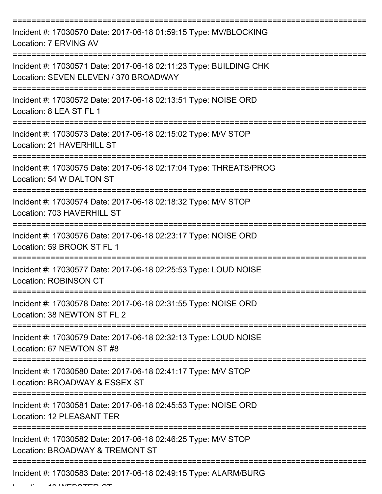| Incident #: 17030570 Date: 2017-06-18 01:59:15 Type: MV/BLOCKING<br>Location: 7 ERVING AV                                             |
|---------------------------------------------------------------------------------------------------------------------------------------|
| Incident #: 17030571 Date: 2017-06-18 02:11:23 Type: BUILDING CHK<br>Location: SEVEN ELEVEN / 370 BROADWAY                            |
| Incident #: 17030572 Date: 2017-06-18 02:13:51 Type: NOISE ORD<br>Location: 8 LEA ST FL 1                                             |
| Incident #: 17030573 Date: 2017-06-18 02:15:02 Type: M/V STOP<br>Location: 21 HAVERHILL ST                                            |
| Incident #: 17030575 Date: 2017-06-18 02:17:04 Type: THREATS/PROG<br>Location: 54 W DALTON ST<br>==================================== |
| Incident #: 17030574 Date: 2017-06-18 02:18:32 Type: M/V STOP<br>Location: 703 HAVERHILL ST                                           |
| Incident #: 17030576 Date: 2017-06-18 02:23:17 Type: NOISE ORD<br>Location: 59 BROOK ST FL 1                                          |
| Incident #: 17030577 Date: 2017-06-18 02:25:53 Type: LOUD NOISE<br>Location: ROBINSON CT                                              |
| Incident #: 17030578 Date: 2017-06-18 02:31:55 Type: NOISE ORD<br>Location: 38 NEWTON ST FL 2                                         |
| Incident #: 17030579 Date: 2017-06-18 02:32:13 Type: LOUD NOISE<br>Location: 67 NEWTON ST #8                                          |
| Incident #: 17030580 Date: 2017-06-18 02:41:17 Type: M/V STOP<br>Location: BROADWAY & ESSEX ST                                        |
| Incident #: 17030581 Date: 2017-06-18 02:45:53 Type: NOISE ORD<br>Location: 12 PLEASANT TER                                           |
| Incident #: 17030582 Date: 2017-06-18 02:46:25 Type: M/V STOP<br>Location: BROADWAY & TREMONT ST                                      |
| Incident #: 17030583 Date: 2017-06-18 02:49:15 Type: ALARM/BURG                                                                       |

 $L$ ....  $10$   $M$   $F$  DOTED OT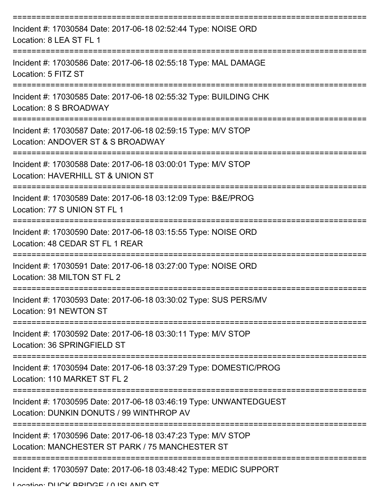| Incident #: 17030584 Date: 2017-06-18 02:52:44 Type: NOISE ORD<br>Location: 8 LEA ST FL 1                        |
|------------------------------------------------------------------------------------------------------------------|
| Incident #: 17030586 Date: 2017-06-18 02:55:18 Type: MAL DAMAGE<br>Location: 5 FITZ ST                           |
| Incident #: 17030585 Date: 2017-06-18 02:55:32 Type: BUILDING CHK<br>Location: 8 S BROADWAY                      |
| Incident #: 17030587 Date: 2017-06-18 02:59:15 Type: M/V STOP<br>Location: ANDOVER ST & S BROADWAY               |
| Incident #: 17030588 Date: 2017-06-18 03:00:01 Type: M/V STOP<br>Location: HAVERHILL ST & UNION ST               |
| Incident #: 17030589 Date: 2017-06-18 03:12:09 Type: B&E/PROG<br>Location: 77 S UNION ST FL 1                    |
| Incident #: 17030590 Date: 2017-06-18 03:15:55 Type: NOISE ORD<br>Location: 48 CEDAR ST FL 1 REAR                |
| Incident #: 17030591 Date: 2017-06-18 03:27:00 Type: NOISE ORD<br>Location: 38 MILTON ST FL 2                    |
| Incident #: 17030593 Date: 2017-06-18 03:30:02 Type: SUS PERS/MV<br>Location: 91 NEWTON ST                       |
| Incident #: 17030592 Date: 2017-06-18 03:30:11 Type: M/V STOP<br>Location: 36 SPRINGFIELD ST                     |
| Incident #: 17030594 Date: 2017-06-18 03:37:29 Type: DOMESTIC/PROG<br>Location: 110 MARKET ST FL 2               |
| Incident #: 17030595 Date: 2017-06-18 03:46:19 Type: UNWANTEDGUEST<br>Location: DUNKIN DONUTS / 99 WINTHROP AV   |
| Incident #: 17030596 Date: 2017-06-18 03:47:23 Type: M/V STOP<br>Location: MANCHESTER ST PARK / 75 MANCHESTER ST |
| Incident #: 17030597 Date: 2017-06-18 03:48:42 Type: MEDIC SUPPORT                                               |

Location: DUCK BBIDGE / 0 ISLAND ST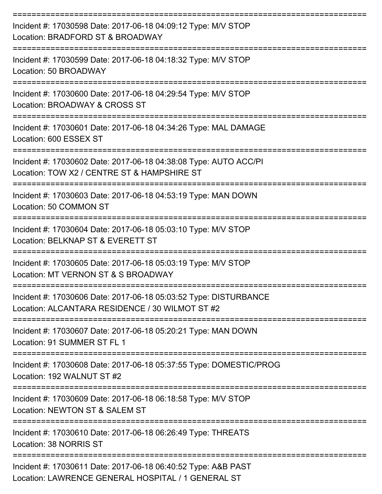| Incident #: 17030598 Date: 2017-06-18 04:09:12 Type: M/V STOP<br>Location: BRADFORD ST & BROADWAY                   |
|---------------------------------------------------------------------------------------------------------------------|
| Incident #: 17030599 Date: 2017-06-18 04:18:32 Type: M/V STOP<br>Location: 50 BROADWAY                              |
| Incident #: 17030600 Date: 2017-06-18 04:29:54 Type: M/V STOP<br>Location: BROADWAY & CROSS ST                      |
| Incident #: 17030601 Date: 2017-06-18 04:34:26 Type: MAL DAMAGE<br>Location: 600 ESSEX ST                           |
| Incident #: 17030602 Date: 2017-06-18 04:38:08 Type: AUTO ACC/PI<br>Location: TOW X2 / CENTRE ST & HAMPSHIRE ST     |
| Incident #: 17030603 Date: 2017-06-18 04:53:19 Type: MAN DOWN<br>Location: 50 COMMON ST                             |
| Incident #: 17030604 Date: 2017-06-18 05:03:10 Type: M/V STOP<br>Location: BELKNAP ST & EVERETT ST                  |
| Incident #: 17030605 Date: 2017-06-18 05:03:19 Type: M/V STOP<br>Location: MT VERNON ST & S BROADWAY                |
| Incident #: 17030606 Date: 2017-06-18 05:03:52 Type: DISTURBANCE<br>Location: ALCANTARA RESIDENCE / 30 WILMOT ST #2 |
| Incident #: 17030607 Date: 2017-06-18 05:20:21 Type: MAN DOWN<br>Location: 91 SUMMER ST FL 1                        |
| Incident #: 17030608 Date: 2017-06-18 05:37:55 Type: DOMESTIC/PROG<br>Location: 192 WALNUT ST #2                    |
| Incident #: 17030609 Date: 2017-06-18 06:18:58 Type: M/V STOP<br>Location: NEWTON ST & SALEM ST                     |
| Incident #: 17030610 Date: 2017-06-18 06:26:49 Type: THREATS<br>Location: 38 NORRIS ST                              |
| Incident #: 17030611 Date: 2017-06-18 06:40:52 Type: A&B PAST<br>Location: LAWRENCE GENERAL HOSPITAL / 1 GENERAL ST |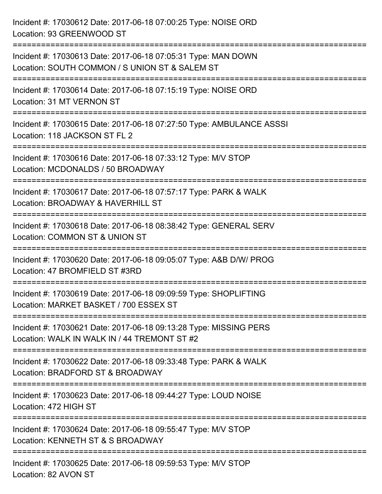| Incident #: 17030612 Date: 2017-06-18 07:00:25 Type: NOISE ORD<br>Location: 93 GREENWOOD ST                       |
|-------------------------------------------------------------------------------------------------------------------|
| Incident #: 17030613 Date: 2017-06-18 07:05:31 Type: MAN DOWN<br>Location: SOUTH COMMON / S UNION ST & SALEM ST   |
| Incident #: 17030614 Date: 2017-06-18 07:15:19 Type: NOISE ORD<br>Location: 31 MT VERNON ST                       |
| Incident #: 17030615 Date: 2017-06-18 07:27:50 Type: AMBULANCE ASSSI<br>Location: 118 JACKSON ST FL 2             |
| Incident #: 17030616 Date: 2017-06-18 07:33:12 Type: M/V STOP<br>Location: MCDONALDS / 50 BROADWAY                |
| Incident #: 17030617 Date: 2017-06-18 07:57:17 Type: PARK & WALK<br>Location: BROADWAY & HAVERHILL ST             |
| Incident #: 17030618 Date: 2017-06-18 08:38:42 Type: GENERAL SERV<br>Location: COMMON ST & UNION ST               |
| Incident #: 17030620 Date: 2017-06-18 09:05:07 Type: A&B D/W/ PROG<br>Location: 47 BROMFIELD ST #3RD              |
| Incident #: 17030619 Date: 2017-06-18 09:09:59 Type: SHOPLIFTING<br>Location: MARKET BASKET / 700 ESSEX ST        |
| Incident #: 17030621 Date: 2017-06-18 09:13:28 Type: MISSING PERS<br>Location: WALK IN WALK IN / 44 TREMONT ST #2 |
| Incident #: 17030622 Date: 2017-06-18 09:33:48 Type: PARK & WALK<br>Location: BRADFORD ST & BROADWAY              |
| Incident #: 17030623 Date: 2017-06-18 09:44:27 Type: LOUD NOISE<br>Location: 472 HIGH ST                          |
| Incident #: 17030624 Date: 2017-06-18 09:55:47 Type: M/V STOP<br>Location: KENNETH ST & S BROADWAY                |
| Incident #: 17030625 Date: 2017-06-18 09:59:53 Type: M/V STOP<br>Location: 82 AVON ST                             |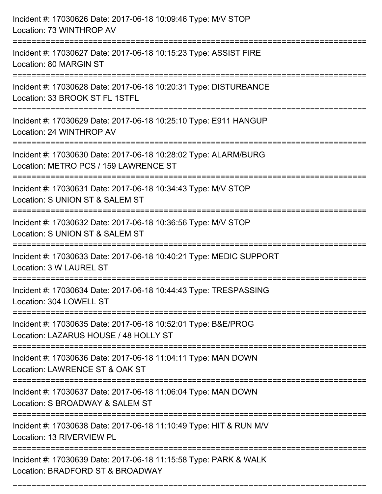| Incident #: 17030626 Date: 2017-06-18 10:09:46 Type: M/V STOP<br>Location: 73 WINTHROP AV                                     |
|-------------------------------------------------------------------------------------------------------------------------------|
| Incident #: 17030627 Date: 2017-06-18 10:15:23 Type: ASSIST FIRE<br>Location: 80 MARGIN ST                                    |
| Incident #: 17030628 Date: 2017-06-18 10:20:31 Type: DISTURBANCE<br>Location: 33 BROOK ST FL 1STFL                            |
| Incident #: 17030629 Date: 2017-06-18 10:25:10 Type: E911 HANGUP<br>Location: 24 WINTHROP AV                                  |
| Incident #: 17030630 Date: 2017-06-18 10:28:02 Type: ALARM/BURG<br>Location: METRO PCS / 159 LAWRENCE ST                      |
| Incident #: 17030631 Date: 2017-06-18 10:34:43 Type: M/V STOP<br>Location: S UNION ST & SALEM ST<br>:======================== |
| Incident #: 17030632 Date: 2017-06-18 10:36:56 Type: M/V STOP<br>Location: S UNION ST & SALEM ST                              |
| Incident #: 17030633 Date: 2017-06-18 10:40:21 Type: MEDIC SUPPORT<br>Location: 3 W LAUREL ST                                 |
| Incident #: 17030634 Date: 2017-06-18 10:44:43 Type: TRESPASSING<br>Location: 304 LOWELL ST                                   |
| Incident #: 17030635 Date: 2017-06-18 10:52:01 Type: B&E/PROG<br>Location: LAZARUS HOUSE / 48 HOLLY ST                        |
| Incident #: 17030636 Date: 2017-06-18 11:04:11 Type: MAN DOWN<br>Location: LAWRENCE ST & OAK ST                               |
| Incident #: 17030637 Date: 2017-06-18 11:06:04 Type: MAN DOWN<br>Location: S BROADWAY & SALEM ST                              |
| Incident #: 17030638 Date: 2017-06-18 11:10:49 Type: HIT & RUN M/V<br>Location: 13 RIVERVIEW PL                               |
| Incident #: 17030639 Date: 2017-06-18 11:15:58 Type: PARK & WALK<br>Location: BRADFORD ST & BROADWAY                          |

===========================================================================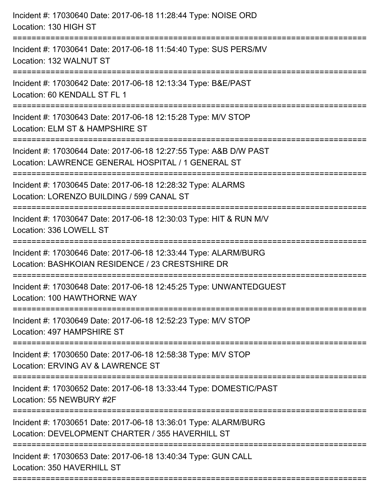| Incident #: 17030640 Date: 2017-06-18 11:28:44 Type: NOISE ORD<br>Location: 130 HIGH ST                                 |
|-------------------------------------------------------------------------------------------------------------------------|
| Incident #: 17030641 Date: 2017-06-18 11:54:40 Type: SUS PERS/MV<br>Location: 132 WALNUT ST                             |
| Incident #: 17030642 Date: 2017-06-18 12:13:34 Type: B&E/PAST<br>Location: 60 KENDALL ST FL 1                           |
| Incident #: 17030643 Date: 2017-06-18 12:15:28 Type: M/V STOP<br>Location: ELM ST & HAMPSHIRE ST                        |
| Incident #: 17030644 Date: 2017-06-18 12:27:55 Type: A&B D/W PAST<br>Location: LAWRENCE GENERAL HOSPITAL / 1 GENERAL ST |
| Incident #: 17030645 Date: 2017-06-18 12:28:32 Type: ALARMS<br>Location: LORENZO BUILDING / 599 CANAL ST                |
| Incident #: 17030647 Date: 2017-06-18 12:30:03 Type: HIT & RUN M/V<br>Location: 336 LOWELL ST                           |
| Incident #: 17030646 Date: 2017-06-18 12:33:44 Type: ALARM/BURG<br>Location: BASHKOIAN RESIDENCE / 23 CRESTSHIRE DR     |
| Incident #: 17030648 Date: 2017-06-18 12:45:25 Type: UNWANTEDGUEST<br>Location: 100 HAWTHORNE WAY                       |
| Incident #: 17030649 Date: 2017-06-18 12:52:23 Type: M/V STOP<br>Location: 497 HAMPSHIRE ST                             |
| Incident #: 17030650 Date: 2017-06-18 12:58:38 Type: M/V STOP<br>Location: ERVING AV & LAWRENCE ST                      |
| Incident #: 17030652 Date: 2017-06-18 13:33:44 Type: DOMESTIC/PAST<br>Location: 55 NEWBURY #2F                          |
| Incident #: 17030651 Date: 2017-06-18 13:36:01 Type: ALARM/BURG<br>Location: DEVELOPMENT CHARTER / 355 HAVERHILL ST     |
| Incident #: 17030653 Date: 2017-06-18 13:40:34 Type: GUN CALL<br>Location: 350 HAVERHILL ST                             |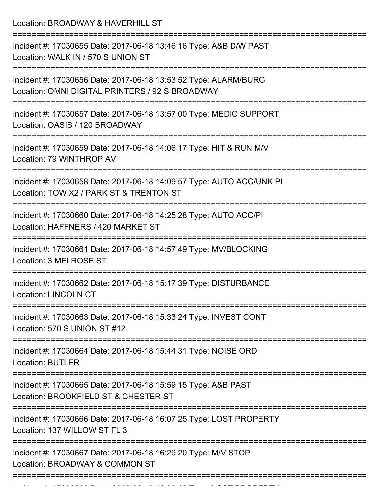Location: BROADWAY & HAVERHILL ST

=========================================================================== Incident #: 17030655 Date: 2017-06-18 13:46:16 Type: A&B D/W PAST Location: WALK IN / 570 S UNION ST =========================================================================== Incident #: 17030656 Date: 2017-06-18 13:53:52 Type: ALARM/BURG Location: OMNI DIGITAL PRINTERS / 92 S BROADWAY =========================================================================== Incident #: 17030657 Date: 2017-06-18 13:57:00 Type: MEDIC SUPPORT Location: OASIS / 120 BROADWAY =========================================================================== Incident #: 17030659 Date: 2017-06-18 14:06:17 Type: HIT & RUN M/V Location: 79 WINTHROP AV =========================================================================== Incident #: 17030658 Date: 2017-06-18 14:09:57 Type: AUTO ACC/UNK PI Location: TOW X2 / PARK ST & TRENTON ST =========================================================================== Incident #: 17030660 Date: 2017-06-18 14:25:28 Type: AUTO ACC/PI Location: HAFFNERS / 420 MARKET ST =========================================================================== Incident #: 17030661 Date: 2017-06-18 14:57:49 Type: MV/BLOCKING Location: 3 MELROSE ST =========================================================================== Incident #: 17030662 Date: 2017-06-18 15:17:39 Type: DISTURBANCE Location: LINCOLN CT =========================================================================== Incident #: 17030663 Date: 2017-06-18 15:33:24 Type: INVEST CONT Location: 570 S UNION ST #12 =========================================================================== Incident #: 17030664 Date: 2017-06-18 15:44:31 Type: NOISE ORD Location: BUTLER =========================================================================== Incident #: 17030665 Date: 2017-06-18 15:59:15 Type: A&B PAST Location: BROOKFIFLD ST & CHESTER ST =========================================================================== Incident #: 17030666 Date: 2017-06-18 16:07:25 Type: LOST PROPERTY Location: 137 WILLOW ST FL 3 =========================================================================== Incident #: 17030667 Date: 2017-06-18 16:29:20 Type: M/V STOP Location: BROADWAY & COMMON ST ===========================================================================

Incident #: 17030668 Date: 2017 06 18 16:30:19 Type: 2017 06 16:30:19 Type: LOST PROPERTY<br>.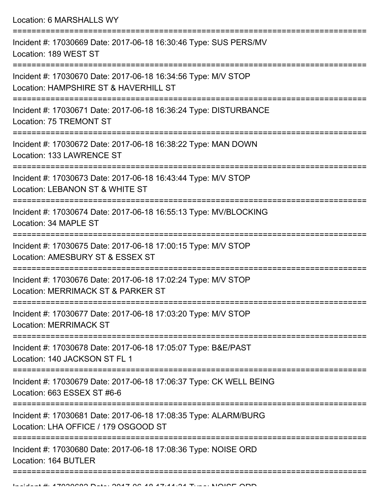Location: 6 MARSHALLS WY =========================================================================== Incident #: 17030669 Date: 2017-06-18 16:30:46 Type: SUS PERS/MV Location: 189 WEST ST =========================================================================== Incident #: 17030670 Date: 2017-06-18 16:34:56 Type: M/V STOP Location: HAMPSHIRE ST & HAVERHILL ST =========================================================================== Incident #: 17030671 Date: 2017-06-18 16:36:24 Type: DISTURBANCE Location: 75 TREMONT ST =========================================================================== Incident #: 17030672 Date: 2017-06-18 16:38:22 Type: MAN DOWN Location: 133 LAWRENCE ST =========================================================================== Incident #: 17030673 Date: 2017-06-18 16:43:44 Type: M/V STOP Location: LEBANON ST & WHITE ST =========================================================================== Incident #: 17030674 Date: 2017-06-18 16:55:13 Type: MV/BLOCKING Location: 34 MAPLE ST =========================================================================== Incident #: 17030675 Date: 2017-06-18 17:00:15 Type: M/V STOP Location: AMESBURY ST & ESSEX ST =========================================================================== Incident #: 17030676 Date: 2017-06-18 17:02:24 Type: M/V STOP Location: MERRIMACK ST & PARKER ST =========================================================================== Incident #: 17030677 Date: 2017-06-18 17:03:20 Type: M/V STOP Location: MERRIMACK ST =========================================================================== Incident #: 17030678 Date: 2017-06-18 17:05:07 Type: B&E/PAST Location: 140 JACKSON ST FL 1 =========================================================================== Incident #: 17030679 Date: 2017-06-18 17:06:37 Type: CK WELL BEING Location: 663 ESSEX ST #6-6 =========================================================================== Incident #: 17030681 Date: 2017-06-18 17:08:35 Type: ALARM/BURG Location: LHA OFFICE / 179 OSGOOD ST =========================================================================== Incident #: 17030680 Date: 2017-06-18 17:08:36 Type: NOISE ORD Location: 164 BUTLER

===========================================================================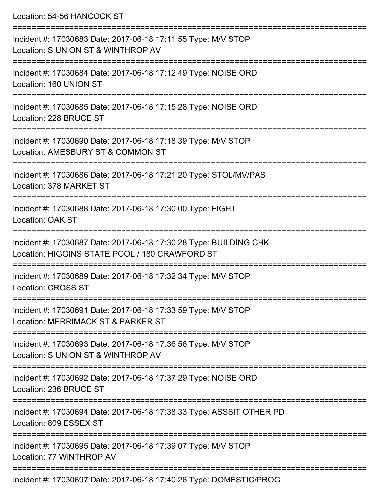| Location: 54-56 HANCOCK ST                                                                                              |
|-------------------------------------------------------------------------------------------------------------------------|
| Incident #: 17030683 Date: 2017-06-18 17:11:55 Type: M/V STOP<br>Location: S UNION ST & WINTHROP AV<br>:=============== |
| Incident #: 17030684 Date: 2017-06-18 17:12:49 Type: NOISE ORD<br>Location: 160 UNION ST                                |
| Incident #: 17030685 Date: 2017-06-18 17:15:28 Type: NOISE ORD<br>Location: 228 BRUCE ST                                |
| Incident #: 17030690 Date: 2017-06-18 17:18:39 Type: M/V STOP<br>Location: AMESBURY ST & COMMON ST                      |
| Incident #: 17030686 Date: 2017-06-18 17:21:20 Type: STOL/MV/PAS<br>Location: 378 MARKET ST                             |
| Incident #: 17030688 Date: 2017-06-18 17:30:00 Type: FIGHT<br>Location: OAK ST                                          |
| Incident #: 17030687 Date: 2017-06-18 17:30:28 Type: BUILDING CHK<br>Location: HIGGINS STATE POOL / 180 CRAWFORD ST     |
| Incident #: 17030689 Date: 2017-06-18 17:32:34 Type: M/V STOP<br><b>Location: CROSS ST</b>                              |
| Incident #: 17030691 Date: 2017-06-18 17:33:59 Type: M/V STOP<br>Location: MERRIMACK ST & PARKER ST                     |
| Incident #: 17030693 Date: 2017-06-18 17:36:56 Type: M/V STOP<br>Location: S UNION ST & WINTHROP AV                     |
| Incident #: 17030692 Date: 2017-06-18 17:37:29 Type: NOISE ORD<br>Location: 236 BRUCE ST                                |
| Incident #: 17030694 Date: 2017-06-18 17:38:33 Type: ASSSIT OTHER PD<br>Location: 809 ESSEX ST                          |
| Incident #: 17030695 Date: 2017-06-18 17:39:07 Type: M/V STOP<br>Location: 77 WINTHROP AV                               |
| $Incidont + 17020607$ Data: 2017.06.18.17:40:26 Type: DOMESTIC/DDOC                                                     |

Incident #: 17030697 Date: 2017-06-18 17:40:26 Type: DOMESTIC/PROG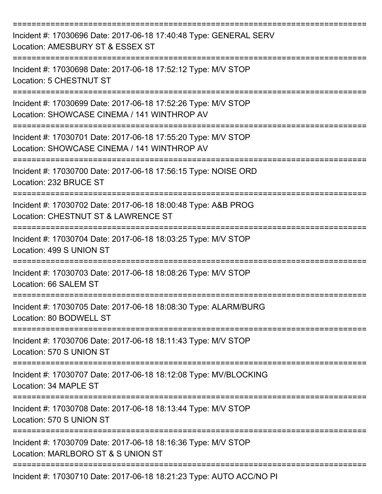| Incident #: 17030696 Date: 2017-06-18 17:40:48 Type: GENERAL SERV<br>Location: AMESBURY ST & ESSEX ST        |
|--------------------------------------------------------------------------------------------------------------|
| Incident #: 17030698 Date: 2017-06-18 17:52:12 Type: M/V STOP<br>Location: 5 CHESTNUT ST                     |
| Incident #: 17030699 Date: 2017-06-18 17:52:26 Type: M/V STOP<br>Location: SHOWCASE CINEMA / 141 WINTHROP AV |
| Incident #: 17030701 Date: 2017-06-18 17:55:20 Type: M/V STOP<br>Location: SHOWCASE CINEMA / 141 WINTHROP AV |
| Incident #: 17030700 Date: 2017-06-18 17:56:15 Type: NOISE ORD<br>Location: 232 BRUCE ST                     |
| Incident #: 17030702 Date: 2017-06-18 18:00:48 Type: A&B PROG<br>Location: CHESTNUT ST & LAWRENCE ST         |
| Incident #: 17030704 Date: 2017-06-18 18:03:25 Type: M/V STOP<br>Location: 499 S UNION ST                    |
| Incident #: 17030703 Date: 2017-06-18 18:08:26 Type: M/V STOP<br>Location: 66 SALEM ST                       |
| Incident #: 17030705 Date: 2017-06-18 18:08:30 Type: ALARM/BURG<br>Location: 80 BODWELL ST                   |
| Incident #: 17030706 Date: 2017-06-18 18:11:43 Type: M/V STOP<br>Location: 570 S UNION ST                    |
| Incident #: 17030707 Date: 2017-06-18 18:12:08 Type: MV/BLOCKING<br>Location: 34 MAPLE ST                    |
| Incident #: 17030708 Date: 2017-06-18 18:13:44 Type: M/V STOP<br>Location: 570 S UNION ST                    |
| Incident #: 17030709 Date: 2017-06-18 18:16:36 Type: M/V STOP<br>Location: MARLBORO ST & S UNION ST          |
| Incident #: 17030710 Date: 2017-06-18 18:21:23 Type: AUTO ACC/NO PI                                          |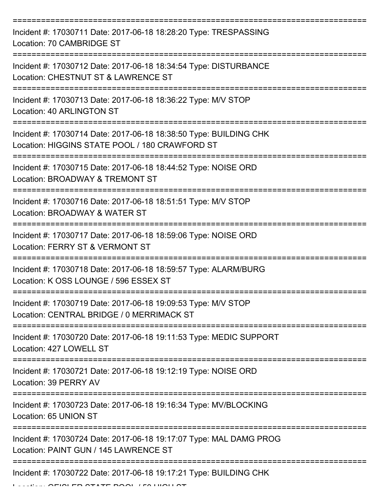| Incident #: 17030711 Date: 2017-06-18 18:28:20 Type: TRESPASSING<br>Location: 70 CAMBRIDGE ST                       |
|---------------------------------------------------------------------------------------------------------------------|
| Incident #: 17030712 Date: 2017-06-18 18:34:54 Type: DISTURBANCE<br>Location: CHESTNUT ST & LAWRENCE ST             |
| Incident #: 17030713 Date: 2017-06-18 18:36:22 Type: M/V STOP<br>Location: 40 ARLINGTON ST                          |
| Incident #: 17030714 Date: 2017-06-18 18:38:50 Type: BUILDING CHK<br>Location: HIGGINS STATE POOL / 180 CRAWFORD ST |
| Incident #: 17030715 Date: 2017-06-18 18:44:52 Type: NOISE ORD<br>Location: BROADWAY & TREMONT ST                   |
| Incident #: 17030716 Date: 2017-06-18 18:51:51 Type: M/V STOP<br>Location: BROADWAY & WATER ST                      |
| Incident #: 17030717 Date: 2017-06-18 18:59:06 Type: NOISE ORD<br>Location: FERRY ST & VERMONT ST                   |
| Incident #: 17030718 Date: 2017-06-18 18:59:57 Type: ALARM/BURG<br>Location: K OSS LOUNGE / 596 ESSEX ST            |
| Incident #: 17030719 Date: 2017-06-18 19:09:53 Type: M/V STOP<br>Location: CENTRAL BRIDGE / 0 MERRIMACK ST          |
| Incident #: 17030720 Date: 2017-06-18 19:11:53 Type: MEDIC SUPPORT<br>Location: 427 LOWELL ST                       |
| Incident #: 17030721 Date: 2017-06-18 19:12:19 Type: NOISE ORD<br>Location: 39 PERRY AV                             |
| Incident #: 17030723 Date: 2017-06-18 19:16:34 Type: MV/BLOCKING<br>Location: 65 UNION ST                           |
| Incident #: 17030724 Date: 2017-06-18 19:17:07 Type: MAL DAMG PROG<br>Location: PAINT GUN / 145 LAWRENCE ST         |
| Incident #: 17030722 Date: 2017-06-18 19:17:21 Type: BUILDING CHK                                                   |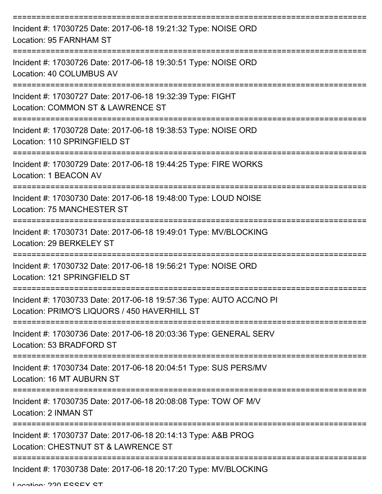| Incident #: 17030725 Date: 2017-06-18 19:21:32 Type: NOISE ORD<br>Location: 95 FARNHAM ST                           |
|---------------------------------------------------------------------------------------------------------------------|
| Incident #: 17030726 Date: 2017-06-18 19:30:51 Type: NOISE ORD<br>Location: 40 COLUMBUS AV                          |
| Incident #: 17030727 Date: 2017-06-18 19:32:39 Type: FIGHT<br>Location: COMMON ST & LAWRENCE ST                     |
| Incident #: 17030728 Date: 2017-06-18 19:38:53 Type: NOISE ORD<br>Location: 110 SPRINGFIELD ST                      |
| Incident #: 17030729 Date: 2017-06-18 19:44:25 Type: FIRE WORKS<br>Location: 1 BEACON AV                            |
| Incident #: 17030730 Date: 2017-06-18 19:48:00 Type: LOUD NOISE<br><b>Location: 75 MANCHESTER ST</b>                |
| Incident #: 17030731 Date: 2017-06-18 19:49:01 Type: MV/BLOCKING<br>Location: 29 BERKELEY ST                        |
| Incident #: 17030732 Date: 2017-06-18 19:56:21 Type: NOISE ORD<br>Location: 121 SPRINGFIELD ST                      |
| Incident #: 17030733 Date: 2017-06-18 19:57:36 Type: AUTO ACC/NO PI<br>Location: PRIMO'S LIQUORS / 450 HAVERHILL ST |
| Incident #: 17030736 Date: 2017-06-18 20:03:36 Type: GENERAL SERV<br>Location: 53 BRADFORD ST                       |
| Incident #: 17030734 Date: 2017-06-18 20:04:51 Type: SUS PERS/MV<br>Location: 16 MT AUBURN ST                       |
| Incident #: 17030735 Date: 2017-06-18 20:08:08 Type: TOW OF M/V<br>Location: 2 INMAN ST                             |
| Incident #: 17030737 Date: 2017-06-18 20:14:13 Type: A&B PROG<br>Location: CHESTNUT ST & LAWRENCE ST                |
| Incident #: 17030738 Date: 2017-06-18 20:17:20 Type: MV/BLOCKING                                                    |

Location: 220 ESSEY ST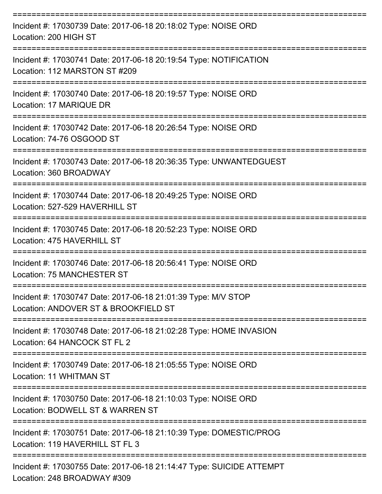| Incident #: 17030739 Date: 2017-06-18 20:18:02 Type: NOISE ORD<br>Location: 200 HIGH ST                                                 |
|-----------------------------------------------------------------------------------------------------------------------------------------|
| Incident #: 17030741 Date: 2017-06-18 20:19:54 Type: NOTIFICATION<br>Location: 112 MARSTON ST #209<br>:================================ |
| Incident #: 17030740 Date: 2017-06-18 20:19:57 Type: NOISE ORD<br>Location: 17 MARIQUE DR                                               |
| Incident #: 17030742 Date: 2017-06-18 20:26:54 Type: NOISE ORD<br>Location: 74-76 OSGOOD ST                                             |
| Incident #: 17030743 Date: 2017-06-18 20:36:35 Type: UNWANTEDGUEST<br>Location: 360 BROADWAY                                            |
| Incident #: 17030744 Date: 2017-06-18 20:49:25 Type: NOISE ORD<br>Location: 527-529 HAVERHILL ST                                        |
| Incident #: 17030745 Date: 2017-06-18 20:52:23 Type: NOISE ORD<br>Location: 475 HAVERHILL ST                                            |
| Incident #: 17030746 Date: 2017-06-18 20:56:41 Type: NOISE ORD<br>Location: 75 MANCHESTER ST                                            |
| Incident #: 17030747 Date: 2017-06-18 21:01:39 Type: M/V STOP<br>Location: ANDOVER ST & BROOKFIELD ST                                   |
| Incident #: 17030748 Date: 2017-06-18 21:02:28 Type: HOME INVASION<br>Location: 64 HANCOCK ST FL 2                                      |
| Incident #: 17030749 Date: 2017-06-18 21:05:55 Type: NOISE ORD<br>Location: 11 WHITMAN ST                                               |
| Incident #: 17030750 Date: 2017-06-18 21:10:03 Type: NOISE ORD<br>Location: BODWELL ST & WARREN ST                                      |
| Incident #: 17030751 Date: 2017-06-18 21:10:39 Type: DOMESTIC/PROG<br>Location: 119 HAVERHILL ST FL 3                                   |
| Incident #: 17030755 Date: 2017-06-18 21:14:47 Type: SUICIDE ATTEMPT<br>Location: 248 BROADWAY #309                                     |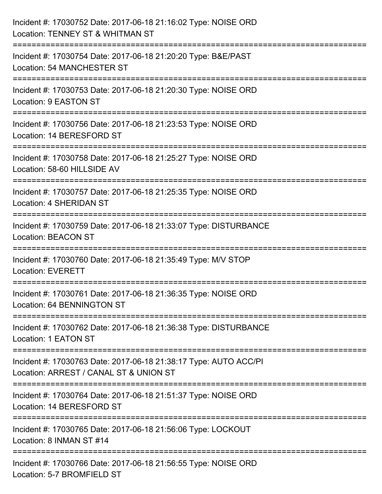| Incident #: 17030752 Date: 2017-06-18 21:16:02 Type: NOISE ORD<br>Location: TENNEY ST & WHITMAN ST                 |
|--------------------------------------------------------------------------------------------------------------------|
| Incident #: 17030754 Date: 2017-06-18 21:20:20 Type: B&E/PAST<br>Location: 54 MANCHESTER ST                        |
| Incident #: 17030753 Date: 2017-06-18 21:20:30 Type: NOISE ORD<br>Location: 9 EASTON ST                            |
| Incident #: 17030756 Date: 2017-06-18 21:23:53 Type: NOISE ORD<br>Location: 14 BERESFORD ST                        |
| Incident #: 17030758 Date: 2017-06-18 21:25:27 Type: NOISE ORD<br>Location: 58-60 HILLSIDE AV<br>:================ |
| Incident #: 17030757 Date: 2017-06-18 21:25:35 Type: NOISE ORD<br>Location: 4 SHERIDAN ST                          |
| Incident #: 17030759 Date: 2017-06-18 21:33:07 Type: DISTURBANCE<br><b>Location: BEACON ST</b>                     |
| Incident #: 17030760 Date: 2017-06-18 21:35:49 Type: M/V STOP<br><b>Location: EVERETT</b>                          |
| Incident #: 17030761 Date: 2017-06-18 21:36:35 Type: NOISE ORD<br>Location: 64 BENNINGTON ST                       |
| Incident #: 17030762 Date: 2017-06-18 21:36:38 Type: DISTURBANCE<br>Location: 1 EATON ST                           |
| Incident #: 17030763 Date: 2017-06-18 21:38:17 Type: AUTO ACC/PI<br>Location: ARREST / CANAL ST & UNION ST         |
| Incident #: 17030764 Date: 2017-06-18 21:51:37 Type: NOISE ORD<br>Location: 14 BERESFORD ST                        |
| Incident #: 17030765 Date: 2017-06-18 21:56:06 Type: LOCKOUT<br>Location: 8 INMAN ST #14                           |
| Incident #: 17030766 Date: 2017-06-18 21:56:55 Type: NOISE ORD<br>Location: 5-7 BROMFIELD ST                       |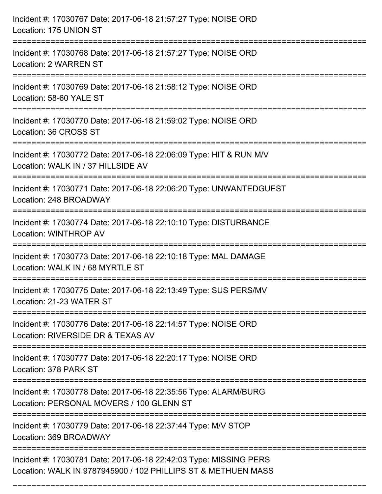| Incident #: 17030767 Date: 2017-06-18 21:57:27 Type: NOISE ORD<br>Location: 175 UNION ST                                           |
|------------------------------------------------------------------------------------------------------------------------------------|
| Incident #: 17030768 Date: 2017-06-18 21:57:27 Type: NOISE ORD<br>Location: 2 WARREN ST                                            |
| Incident #: 17030769 Date: 2017-06-18 21:58:12 Type: NOISE ORD<br>Location: 58-60 YALE ST                                          |
| Incident #: 17030770 Date: 2017-06-18 21:59:02 Type: NOISE ORD<br>Location: 36 CROSS ST                                            |
| Incident #: 17030772 Date: 2017-06-18 22:06:09 Type: HIT & RUN M/V<br>Location: WALK IN / 37 HILLSIDE AV<br>=================      |
| Incident #: 17030771 Date: 2017-06-18 22:06:20 Type: UNWANTEDGUEST<br>Location: 248 BROADWAY                                       |
| Incident #: 17030774 Date: 2017-06-18 22:10:10 Type: DISTURBANCE<br>Location: WINTHROP AV                                          |
| Incident #: 17030773 Date: 2017-06-18 22:10:18 Type: MAL DAMAGE<br>Location: WALK IN / 68 MYRTLE ST                                |
| Incident #: 17030775 Date: 2017-06-18 22:13:49 Type: SUS PERS/MV<br>Location: 21-23 WATER ST                                       |
| Incident #: 17030776 Date: 2017-06-18 22:14:57 Type: NOISE ORD<br>Location: RIVERSIDE DR & TEXAS AV                                |
| Incident #: 17030777 Date: 2017-06-18 22:20:17 Type: NOISE ORD<br>Location: 378 PARK ST                                            |
| Incident #: 17030778 Date: 2017-06-18 22:35:56 Type: ALARM/BURG<br>Location: PERSONAL MOVERS / 100 GLENN ST                        |
| Incident #: 17030779 Date: 2017-06-18 22:37:44 Type: M/V STOP<br>Location: 369 BROADWAY                                            |
| Incident #: 17030781 Date: 2017-06-18 22:42:03 Type: MISSING PERS<br>Location: WALK IN 9787945900 / 102 PHILLIPS ST & METHUEN MASS |

===========================================================================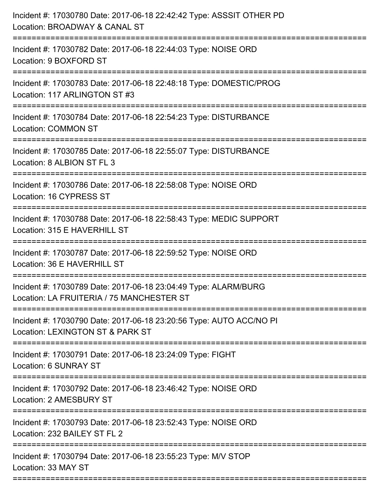| Incident #: 17030780 Date: 2017-06-18 22:42:42 Type: ASSSIT OTHER PD<br>Location: BROADWAY & CANAL ST<br>:======================== |
|------------------------------------------------------------------------------------------------------------------------------------|
| Incident #: 17030782 Date: 2017-06-18 22:44:03 Type: NOISE ORD<br>Location: 9 BOXFORD ST                                           |
| Incident #: 17030783 Date: 2017-06-18 22:48:18 Type: DOMESTIC/PROG<br>Location: 117 ARLINGTON ST #3                                |
| Incident #: 17030784 Date: 2017-06-18 22:54:23 Type: DISTURBANCE<br><b>Location: COMMON ST</b>                                     |
| Incident #: 17030785 Date: 2017-06-18 22:55:07 Type: DISTURBANCE<br>Location: 8 ALBION ST FL 3                                     |
| Incident #: 17030786 Date: 2017-06-18 22:58:08 Type: NOISE ORD<br>Location: 16 CYPRESS ST                                          |
| Incident #: 17030788 Date: 2017-06-18 22:58:43 Type: MEDIC SUPPORT<br>Location: 315 E HAVERHILL ST                                 |
| Incident #: 17030787 Date: 2017-06-18 22:59:52 Type: NOISE ORD<br>Location: 36 E HAVERHILL ST                                      |
| Incident #: 17030789 Date: 2017-06-18 23:04:49 Type: ALARM/BURG<br>Location: LA FRUITERIA / 75 MANCHESTER ST                       |
| Incident #: 17030790 Date: 2017-06-18 23:20:56 Type: AUTO ACC/NO PI<br>Location: LEXINGTON ST & PARK ST                            |
| Incident #: 17030791 Date: 2017-06-18 23:24:09 Type: FIGHT<br>Location: 6 SUNRAY ST                                                |
| Incident #: 17030792 Date: 2017-06-18 23:46:42 Type: NOISE ORD<br>Location: 2 AMESBURY ST                                          |
| Incident #: 17030793 Date: 2017-06-18 23:52:43 Type: NOISE ORD<br>Location: 232 BAILEY ST FL 2                                     |
| Incident #: 17030794 Date: 2017-06-18 23:55:23 Type: M/V STOP<br>Location: 33 MAY ST                                               |